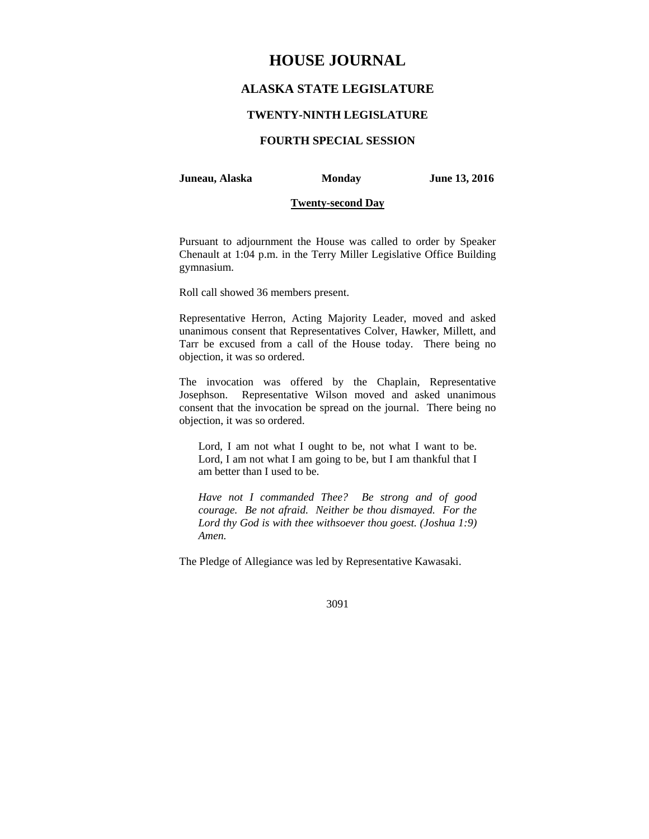# **HOUSE JOURNAL**

## **ALASKA STATE LEGISLATURE**

## **TWENTY-NINTH LEGISLATURE**

## **FOURTH SPECIAL SESSION**

## **Juneau, Alaska Monday June 13, 2016**

## **Twenty-second Day**

Pursuant to adjournment the House was called to order by Speaker Chenault at 1:04 p.m. in the Terry Miller Legislative Office Building gymnasium.

Roll call showed 36 members present.

Representative Herron, Acting Majority Leader, moved and asked unanimous consent that Representatives Colver, Hawker, Millett, and Tarr be excused from a call of the House today. There being no objection, it was so ordered.

The invocation was offered by the Chaplain, Representative Josephson. Representative Wilson moved and asked unanimous consent that the invocation be spread on the journal. There being no objection, it was so ordered.

Lord, I am not what I ought to be, not what I want to be. Lord, I am not what I am going to be, but I am thankful that I am better than I used to be.

*Have not I commanded Thee? Be strong and of good courage. Be not afraid. Neither be thou dismayed. For the Lord thy God is with thee withsoever thou goest. (Joshua 1:9) Amen.* 

The Pledge of Allegiance was led by Representative Kawasaki.

#### 3091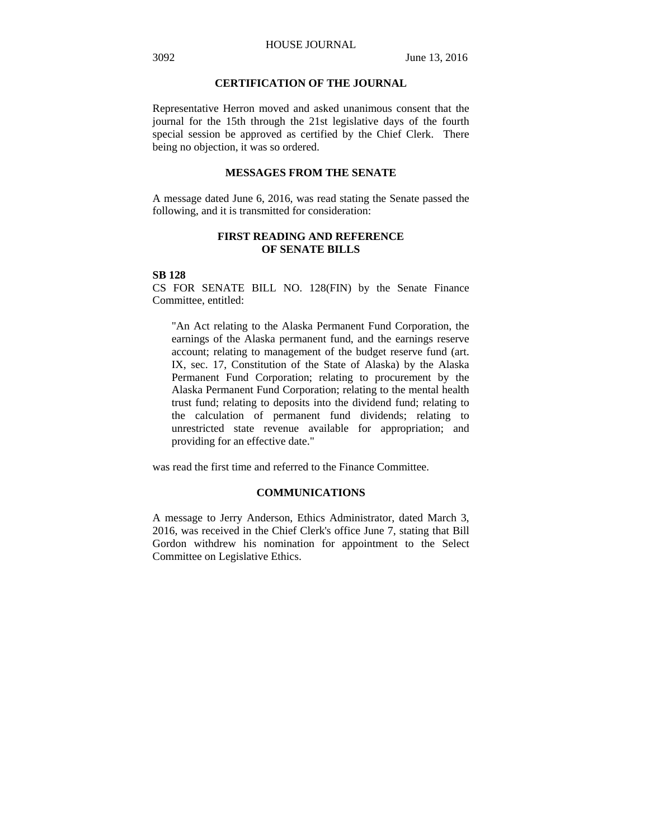## **CERTIFICATION OF THE JOURNAL**

Representative Herron moved and asked unanimous consent that the journal for the 15th through the 21st legislative days of the fourth special session be approved as certified by the Chief Clerk. There being no objection, it was so ordered.

## **MESSAGES FROM THE SENATE**

A message dated June 6, 2016, was read stating the Senate passed the following, and it is transmitted for consideration:

## **FIRST READING AND REFERENCE OF SENATE BILLS**

## **SB 128**

CS FOR SENATE BILL NO. 128(FIN) by the Senate Finance Committee, entitled:

"An Act relating to the Alaska Permanent Fund Corporation, the earnings of the Alaska permanent fund, and the earnings reserve account; relating to management of the budget reserve fund (art. IX, sec. 17, Constitution of the State of Alaska) by the Alaska Permanent Fund Corporation; relating to procurement by the Alaska Permanent Fund Corporation; relating to the mental health trust fund; relating to deposits into the dividend fund; relating to the calculation of permanent fund dividends; relating to unrestricted state revenue available for appropriation; and providing for an effective date."

was read the first time and referred to the Finance Committee.

## **COMMUNICATIONS**

A message to Jerry Anderson, Ethics Administrator, dated March 3, 2016, was received in the Chief Clerk's office June 7, stating that Bill Gordon withdrew his nomination for appointment to the Select Committee on Legislative Ethics.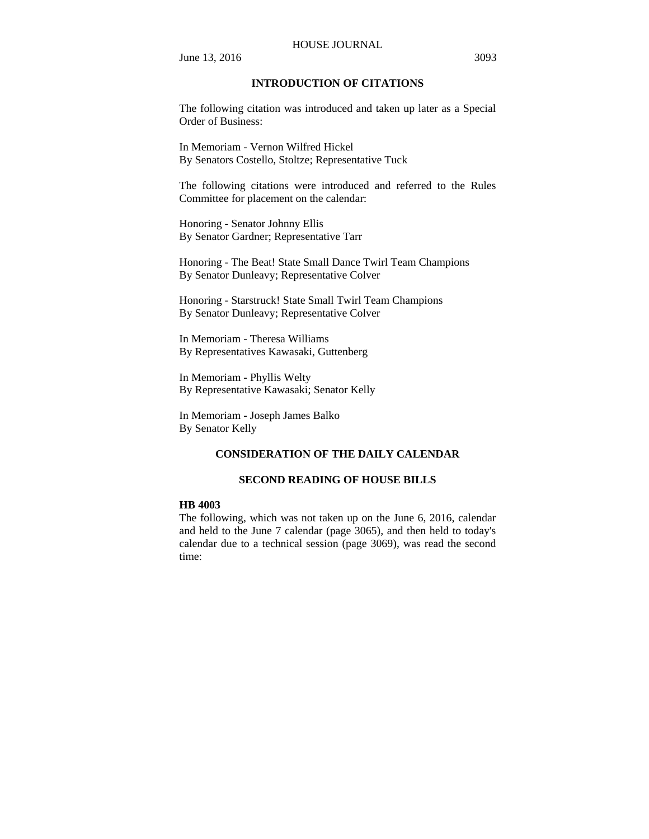#### HOUSE JOURNAL

June 13, 2016 3093

## **INTRODUCTION OF CITATIONS**

The following citation was introduced and taken up later as a Special Order of Business:

In Memoriam - Vernon Wilfred Hickel By Senators Costello, Stoltze; Representative Tuck

The following citations were introduced and referred to the Rules Committee for placement on the calendar:

Honoring - Senator Johnny Ellis By Senator Gardner; Representative Tarr

Honoring - The Beat! State Small Dance Twirl Team Champions By Senator Dunleavy; Representative Colver

Honoring - Starstruck! State Small Twirl Team Champions By Senator Dunleavy; Representative Colver

In Memoriam - Theresa Williams By Representatives Kawasaki, Guttenberg

In Memoriam - Phyllis Welty By Representative Kawasaki; Senator Kelly

In Memoriam - Joseph James Balko By Senator Kelly

## **CONSIDERATION OF THE DAILY CALENDAR**

## **SECOND READING OF HOUSE BILLS**

#### **HB 4003**

The following, which was not taken up on the June 6, 2016, calendar and held to the June 7 calendar (page 3065), and then held to today's calendar due to a technical session (page 3069), was read the second time: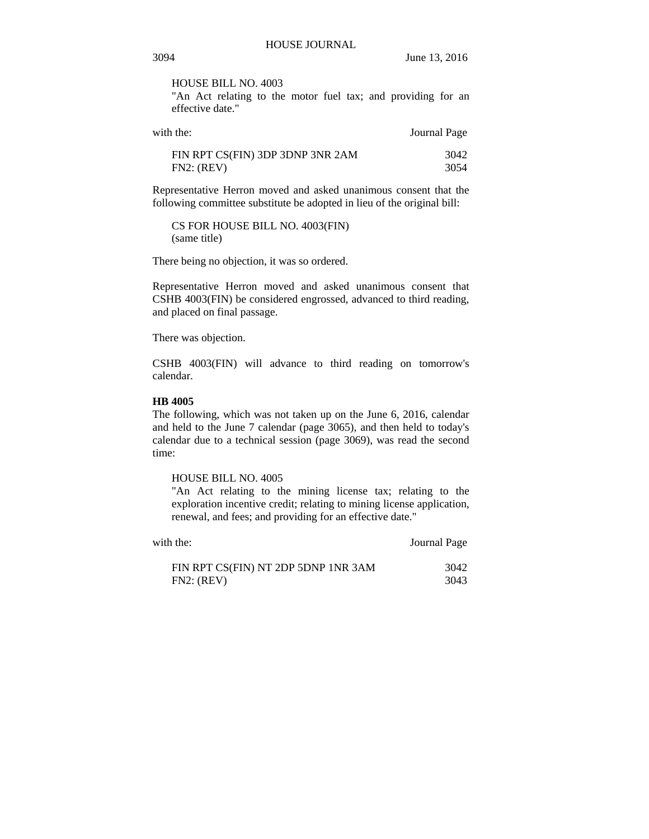HOUSE BILL NO. 4003

"An Act relating to the motor fuel tax; and providing for an effective date."

| with the:                        | Journal Page |
|----------------------------------|--------------|
| FIN RPT CS(FIN) 3DP 3DNP 3NR 2AM | 3042         |
| FN2: (REV)                       | 3054         |

Representative Herron moved and asked unanimous consent that the following committee substitute be adopted in lieu of the original bill:

CS FOR HOUSE BILL NO. 4003(FIN) (same title)

There being no objection, it was so ordered.

Representative Herron moved and asked unanimous consent that CSHB 4003(FIN) be considered engrossed, advanced to third reading, and placed on final passage.

There was objection.

CSHB 4003(FIN) will advance to third reading on tomorrow's calendar.

## **HB 4005**

The following, which was not taken up on the June 6, 2016, calendar and held to the June 7 calendar (page 3065), and then held to today's calendar due to a technical session (page 3069), was read the second time:

HOUSE BILL NO. 4005

"An Act relating to the mining license tax; relating to the exploration incentive credit; relating to mining license application, renewal, and fees; and providing for an effective date."

| with the:                           | Journal Page |
|-------------------------------------|--------------|
| FIN RPT CS(FIN) NT 2DP 5DNP 1NR 3AM | 3042         |
| FN2: (REV)                          | 3043         |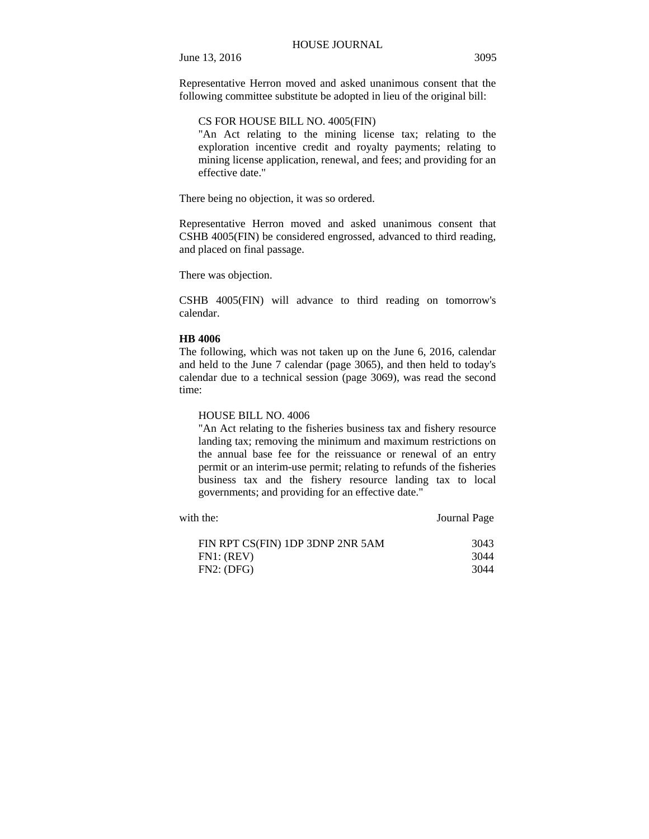Representative Herron moved and asked unanimous consent that the following committee substitute be adopted in lieu of the original bill:

## CS FOR HOUSE BILL NO. 4005(FIN)

"An Act relating to the mining license tax; relating to the exploration incentive credit and royalty payments; relating to mining license application, renewal, and fees; and providing for an effective date."

There being no objection, it was so ordered.

Representative Herron moved and asked unanimous consent that CSHB 4005(FIN) be considered engrossed, advanced to third reading, and placed on final passage.

There was objection.

CSHB 4005(FIN) will advance to third reading on tomorrow's calendar.

#### **HB 4006**

The following, which was not taken up on the June 6, 2016, calendar and held to the June 7 calendar (page 3065), and then held to today's calendar due to a technical session (page 3069), was read the second time:

## HOUSE BILL NO. 4006

"An Act relating to the fisheries business tax and fishery resource landing tax; removing the minimum and maximum restrictions on the annual base fee for the reissuance or renewal of an entry permit or an interim-use permit; relating to refunds of the fisheries business tax and the fishery resource landing tax to local governments; and providing for an effective date."

| with the:                        | Journal Page |
|----------------------------------|--------------|
| FIN RPT CS(FIN) 1DP 3DNP 2NR 5AM | 3043         |
| FN1: (REV)<br>FN2: (DFG)         | 3044<br>3044 |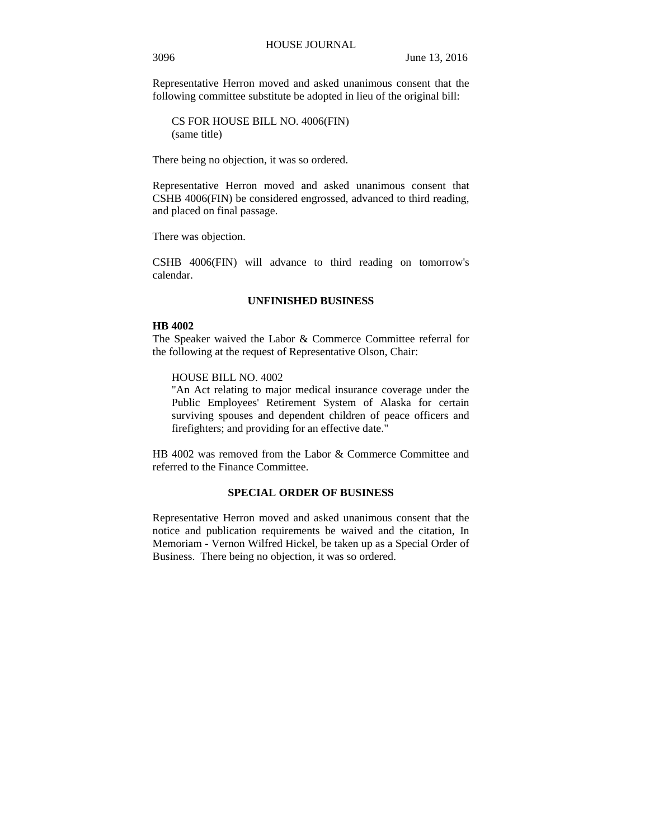Representative Herron moved and asked unanimous consent that the following committee substitute be adopted in lieu of the original bill:

CS FOR HOUSE BILL NO. 4006(FIN) (same title)

There being no objection, it was so ordered.

Representative Herron moved and asked unanimous consent that CSHB 4006(FIN) be considered engrossed, advanced to third reading, and placed on final passage.

There was objection.

CSHB 4006(FIN) will advance to third reading on tomorrow's calendar.

## **UNFINISHED BUSINESS**

## **HB 4002**

The Speaker waived the Labor & Commerce Committee referral for the following at the request of Representative Olson, Chair:

## HOUSE BILL NO. 4002

"An Act relating to major medical insurance coverage under the Public Employees' Retirement System of Alaska for certain surviving spouses and dependent children of peace officers and firefighters; and providing for an effective date."

HB 4002 was removed from the Labor & Commerce Committee and referred to the Finance Committee.

## **SPECIAL ORDER OF BUSINESS**

Representative Herron moved and asked unanimous consent that the notice and publication requirements be waived and the citation, In Memoriam - Vernon Wilfred Hickel, be taken up as a Special Order of Business. There being no objection, it was so ordered.